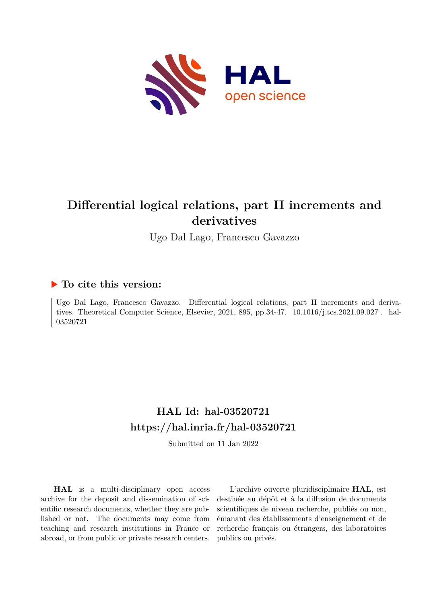

# **Differential logical relations, part II increments and derivatives**

Ugo Dal Lago, Francesco Gavazzo

## **To cite this version:**

Ugo Dal Lago, Francesco Gavazzo. Differential logical relations, part II increments and derivatives. Theoretical Computer Science, Elsevier, 2021, 895, pp.34-47.  $10.1016/j.tcs.2021.09.027$ . hal-03520721ff

## **HAL Id: hal-03520721 <https://hal.inria.fr/hal-03520721>**

Submitted on 11 Jan 2022

**HAL** is a multi-disciplinary open access archive for the deposit and dissemination of scientific research documents, whether they are published or not. The documents may come from teaching and research institutions in France or abroad, or from public or private research centers.

L'archive ouverte pluridisciplinaire **HAL**, est destinée au dépôt et à la diffusion de documents scientifiques de niveau recherche, publiés ou non, émanant des établissements d'enseignement et de recherche français ou étrangers, des laboratoires publics ou privés.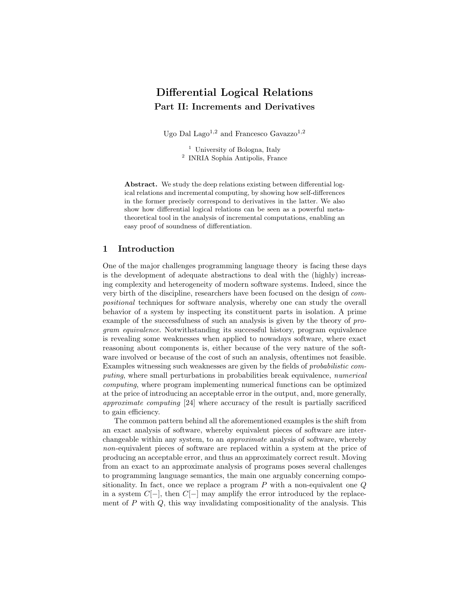### Differential Logical Relations Part II: Increments and Derivatives

Ugo Dal Lago<sup>1,2</sup> and Francesco Gavazzo<sup>1,2</sup>

<sup>1</sup> University of Bologna, Italy 2 INRIA Sophia Antipolis, France

Abstract. We study the deep relations existing between differential logical relations and incremental computing, by showing how self-differences in the former precisely correspond to derivatives in the latter. We also show how differential logical relations can be seen as a powerful metatheoretical tool in the analysis of incremental computations, enabling an easy proof of soundness of differentiation.

#### 1 Introduction

One of the major challenges programming language theory is facing these days is the development of adequate abstractions to deal with the (highly) increasing complexity and heterogeneity of modern software systems. Indeed, since the very birth of the discipline, researchers have been focused on the design of compositional techniques for software analysis, whereby one can study the overall behavior of a system by inspecting its constituent parts in isolation. A prime example of the successfulness of such an analysis is given by the theory of program equivalence. Notwithstanding its successful history, program equivalence is revealing some weaknesses when applied to nowadays software, where exact reasoning about components is, either because of the very nature of the software involved or because of the cost of such an analysis, oftentimes not feasible. Examples witnessing such weaknesses are given by the fields of probabilistic computing, where small perturbations in probabilities break equivalence, numerical computing, where program implementing numerical functions can be optimized at the price of introducing an acceptable error in the output, and, more generally, approximate computing [24] where accuracy of the result is partially sacrificed to gain efficiency.

The common pattern behind all the aforementioned examples is the shift from an exact analysis of software, whereby equivalent pieces of software are interchangeable within any system, to an approximate analysis of software, whereby non-equivalent pieces of software are replaced within a system at the price of producing an acceptable error, and thus an approximately correct result. Moving from an exact to an approximate analysis of programs poses several challenges to programming language semantics, the main one arguably concerning compositionality. In fact, once we replace a program  $P$  with a non-equivalent one  $Q$ in a system  $C[-]$ , then  $C[-]$  may amplify the error introduced by the replacement of  $P$  with  $Q$ , this way invalidating compositionality of the analysis. This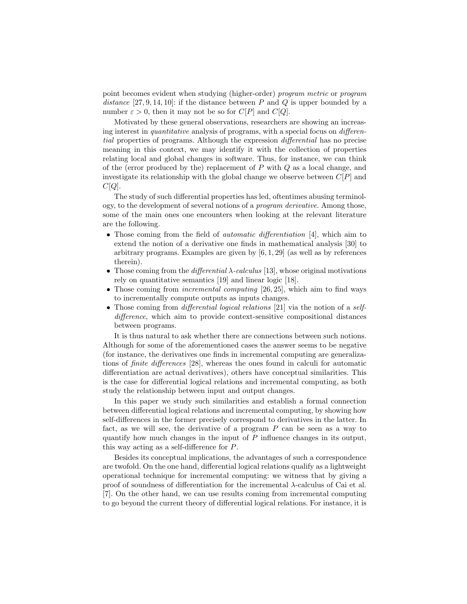point becomes evident when studying (higher-order) program metric or program distance [27, 9, 14, 10]: if the distance between P and Q is upper bounded by a number  $\varepsilon > 0$ , then it may not be so for  $C[P]$  and  $C[Q]$ .

Motivated by these general observations, researchers are showing an increasing interest in *quantitative* analysis of programs, with a special focus on *differen*tial properties of programs. Although the expression differential has no precise meaning in this context, we may identify it with the collection of properties relating local and global changes in software. Thus, for instance, we can think of the (error produced by the) replacement of  $P$  with  $Q$  as a local change, and investigate its relationship with the global change we observe between  $C[P]$  and  $C[Q].$ 

The study of such differential properties has led, oftentimes abusing terminology, to the development of several notions of a program derivative. Among those, some of the main ones one encounters when looking at the relevant literature are the following.

- Those coming from the field of *automatic differentiation* [4], which aim to extend the notion of a derivative one finds in mathematical analysis [30] to arbitrary programs. Examples are given by  $[6, 1, 29]$  (as well as by references therein).
- Those coming from the *differential*  $\lambda$ -calculus [13], whose original motivations rely on quantitative semantics [19] and linear logic [18].
- Those coming from *incremental computing* [26, 25], which aim to find ways to incrementally compute outputs as inputs changes.
- Those coming from *differential logical relations* [21] via the notion of a *self*difference, which aim to provide context-sensitive compositional distances between programs.

It is thus natural to ask whether there are connections between such notions. Although for some of the aforementioned cases the answer seems to be negative (for instance, the derivatives one finds in incremental computing are generalizations of finite differences [28], whereas the ones found in calculi for automatic differentiation are actual derivatives), others have conceptual similarities. This is the case for differential logical relations and incremental computing, as both study the relationship between input and output changes.

In this paper we study such similarities and establish a formal connection between differential logical relations and incremental computing, by showing how self-differences in the former precisely correspond to derivatives in the latter. In fact, as we will see, the derivative of a program P can be seen as a way to quantify how much changes in the input of  $P$  influence changes in its output, this way acting as a self-difference for P.

Besides its conceptual implications, the advantages of such a correspondence are twofold. On the one hand, differential logical relations qualify as a lightweight operational technique for incremental computing: we witness that by giving a proof of soundness of differentiation for the incremental λ-calculus of Cai et al. [7]. On the other hand, we can use results coming from incremental computing to go beyond the current theory of differential logical relations. For instance, it is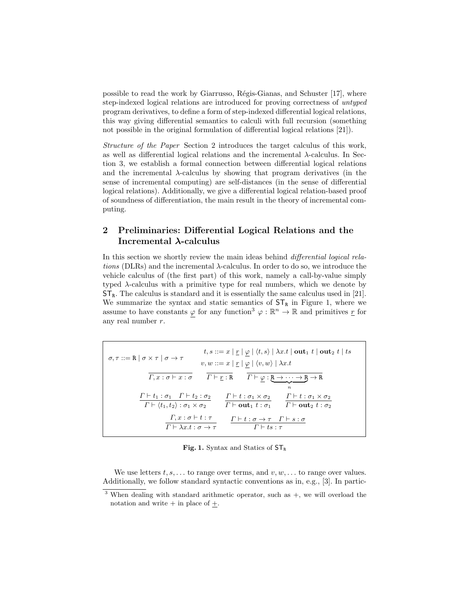possible to read the work by Giarrusso, Régis-Gianas, and Schuster  $[17]$ , where step-indexed logical relations are introduced for proving correctness of untyped program derivatives, to define a form of step-indexed differential logical relations, this way giving differential semantics to calculi with full recursion (something not possible in the original formulation of differential logical relations [21]).

Structure of the Paper Section 2 introduces the target calculus of this work, as well as differential logical relations and the incremental  $\lambda$ -calculus. In Section 3, we establish a formal connection between differential logical relations and the incremental  $\lambda$ -calculus by showing that program derivatives (in the sense of incremental computing) are self-distances (in the sense of differential logical relations). Additionally, we give a differential logical relation-based proof of soundness of differentiation, the main result in the theory of incremental computing.

### 2 Preliminaries: Differential Logical Relations and the Incremental λ-calculus

In this section we shortly review the main ideas behind differential logical relations (DLRs) and the incremental  $\lambda$ -calculus. In order to do so, we introduce the vehicle calculus of (the first part) of this work, namely a call-by-value simply typed  $\lambda$ -calculus with a primitive type for real numbers, which we denote by  $ST_R$ . The calculus is standard and it is essentially the same calculus used in [21]. We summarize the syntax and static semantics of  $ST_R$  in Figure 1, where we assume to have constants  $\varphi$  for any function<sup>3</sup>  $\varphi : \mathbb{R}^n \to \mathbb{R}$  and primitives <u>r</u> for any real number r.

$$
\sigma, \tau ::= \mathbb{R} \mid \sigma \times \tau \mid \sigma \to \tau
$$
\n
$$
t, s ::= x \mid \underline{r} \mid \underline{\varphi} \mid \langle t, s \rangle \mid \lambda x. t \mid \text{out}_1 t \mid \text{out}_2 t \mid ts
$$
\n
$$
v, w ::= x \mid \underline{r} \mid \underline{\varphi} \mid \langle v, w \rangle \mid \lambda x. t
$$
\n
$$
\overline{\Gamma, x : \sigma \vdash x : \sigma}
$$
\n
$$
\overline{\Gamma \vdash \underline{r} : \mathbb{R}}
$$
\n
$$
\frac{\Gamma \vdash t_1 : \sigma_1 \quad \Gamma \vdash t_2 : \sigma_2}{\Gamma \vdash \langle t_1, t_2 \rangle : \sigma_1 \times \sigma_2}
$$
\n
$$
\overline{\Gamma \vdash \text{out}_1 t : \sigma_1}
$$
\n
$$
\frac{\Gamma \vdash t : \sigma_1 \times \sigma_2}{\Gamma \vdash \text{out}_1 t : \sigma_1}
$$
\n
$$
\frac{\Gamma \vdash t : \sigma_1 \times \sigma_2}{\Gamma \vdash \text{out}_2 t : \sigma_2}
$$
\n
$$
\frac{\Gamma \vdash t : \sigma \to \tau \quad \Gamma \vdash s : \sigma}{\Gamma \vdash t : \sigma \to \tau \quad \Gamma \vdash s : \sigma}
$$

Fig. 1. Syntax and Statics of  $ST_R$ 

We use letters  $t, s, \ldots$  to range over terms, and  $v, w, \ldots$  to range over values. Additionally, we follow standard syntactic conventions as in, e.g., [3]. In partic-

 $3$  When dealing with standard arithmetic operator, such as  $+$ , we will overload the notation and write  $+$  in place of  $+$ .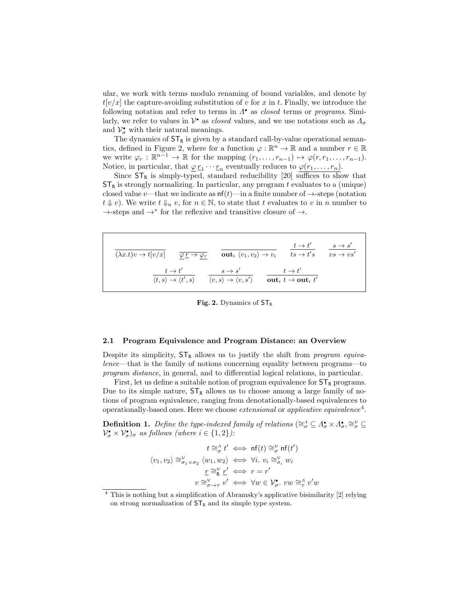ular, we work with terms modulo renaming of bound variables, and denote by  $t[v/x]$  the capture-avoiding substitution of v for x in t. Finally, we introduce the following notation and refer to terms in  $\Lambda^{\bullet}$  as *closed* terms or *programs*. Similarly, we refer to values in  $\mathcal{V}^{\bullet}$  as *closed* values, and we use notations such as  $\Lambda_{\sigma}$ and  $\mathcal{V}_{\sigma}^{\bullet}$  with their natural meanings.

The dynamics of  $\mathsf{ST}_\mathtt{R}$  is given by a standard call-by-value operational semantics, defined in Figure 2, where for a function  $\varphi : \mathbb{R}^n \to \mathbb{R}$  and a number  $r \in \mathbb{R}$ we write  $\varphi_r : \mathbb{R}^{n-1} \to \mathbb{R}$  for the mapping  $(r_1, \ldots, r_{n-1}) \mapsto \varphi(r, r_1, \ldots, r_{n-1}).$ Notice, in particular, that  $\underline{\varphi} r_1 \cdots r_n$  eventually reduces to  $\varphi(r_1, \ldots, r_n)$ .

Since  $ST_R$  is simply-typed, standard reducibility [20] suffices to show that  $ST_R$  is strongly normalizing. In particular, any program t evaluates to a (unique) closed value v—that we indicate as  $nf(t)$ —in a finite number of  $\rightarrow$ -steps (notation  $t \Downarrow v$ ). We write  $t \Downarrow_n v$ , for  $n \in \mathbb{N}$ , to state that t evaluates to v in n number to →-steps and →<sup>∗</sup> for the reflexive and transitive closure of →.

| $(\lambda x.t)v \rightarrow t[v/x]$                      | out <sub>i</sub> $\langle v_1, v_2 \rangle \rightarrow v_i$ | $t \to t'$                                             | $s \rightarrow s'$   |
|----------------------------------------------------------|-------------------------------------------------------------|--------------------------------------------------------|----------------------|
|                                                          | $\varphi \underline{r} \to \varphi_r$                       | $ts \rightarrow t's$                                   | $vs \rightarrow vs'$ |
| $t \rightarrow t'$                                       | $s \rightarrow s'$                                          | $t \rightarrow t'$                                     |                      |
| $\langle t, s \rangle \rightarrow \langle t', s \rangle$ | $\langle v, s \rangle \rightarrow \langle v, s' \rangle$    | out <sub>i</sub> $t \rightarrow$ out <sub>i</sub> $t'$ |                      |

Fig. 2. Dynamics of  $ST_R$ 

#### 2.1 Program Equivalence and Program Distance: an Overview

Despite its simplicity,  $ST_R$  allows us to justify the shift from *program equiva*lence—that is the family of notions concerning equality between programs—to program distance, in general, and to differential logical relations, in particular.

First, let us define a suitable notion of program equivalence for  $ST_R$  programs. Due to its simple nature,  $ST_R$  allows us to choose among a large family of notions of program equivalence, ranging from denotationally-based equivalences to operationally-based ones. Here we choose *extensional* or *applicative equivalence*<sup>4</sup>.

**Definition 1.** Define the type-indexed family of relations ( $\cong_{\sigma}^{\Lambda} \subseteq \Lambda_{\sigma}^{\bullet} \times \Lambda_{\sigma}^{\bullet}, \cong_{\sigma}^{\vee} \subseteq$  $\mathcal{V}_{\sigma}^{\bullet} \times \mathcal{V}_{\sigma}^{\bullet}$ )<sub> $\sigma$ </sub> as follows (where  $i \in \{1,2\}$ ):

$$
t \cong_{\sigma}^{A} t' \iff \text{nf}(t) \cong_{\sigma}^{V} \text{nf}(t')
$$

$$
\langle v_1, v_2 \rangle \cong_{\sigma_1 \times \sigma_2}^{V} \langle w_1, w_2 \rangle \iff \forall i. \ v_i \cong_{\sigma_i}^{V} w_i
$$

$$
\underline{r} \cong_{\text{R}}^{V} \underline{r}' \iff r = r'
$$

$$
v \cong_{\sigma \to \tau}^{V} v' \iff \forall w \in \mathcal{V}_{\sigma}^{\bullet}. \ vw \cong_{\tau}^{A} v'w
$$

 $4$  This is nothing but a simplification of Abramsky's applicative bisimilarity [2] relying on strong normalization of  $ST_R$  and its simple type system.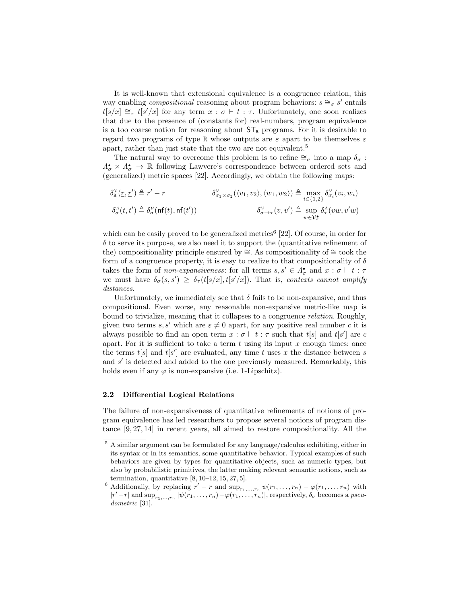It is well-known that extensional equivalence is a congruence relation, this way enabling *compositional* reasoning about program behaviors:  $s \cong_{\sigma} s'$  entails  $t[s/x] \cong_{\tau} t[s'/x]$  for any term  $x : \sigma \vdash t : \tau$ . Unfortunately, one soon realizes that due to the presence of (constants for) real-numbers, program equivalence is a too coarse notion for reasoning about  $ST_R$  programs. For it is desirable to regard two programs of type R whose outputs are  $\varepsilon$  apart to be themselves  $\varepsilon$ apart, rather than just state that the two are not equivalent.<sup>5</sup>

The natural way to overcome this problem is to refine  $\cong_{\sigma}$  into a map  $\delta_{\sigma}$ :  $\Lambda_{\sigma}^{\bullet} \times \Lambda_{\sigma}^{\bullet} \to \mathbb{R}$  following Lawvere's correspondence between ordered sets and (generalized) metric spaces [22]. Accordingly, we obtain the following maps:

$$
\delta_{\mathbf{R}}^{\mathcal{V}}(\underline{r},\underline{r}') \triangleq r' - r \qquad \qquad \delta_{\sigma_1 \times \sigma_2}^{\mathcal{V}}(\langle v_1, v_2 \rangle, \langle w_1, w_2 \rangle) \triangleq \max_{i \in \{1,2\}} \delta_{\sigma_i}^{\mathcal{V}}(v_i, w_i)
$$
\n
$$
\delta_{\sigma}^{\Lambda}(t,t') \triangleq \delta_{\sigma}^{\mathcal{V}}(\mathbf{nf}(t),\mathbf{nf}(t')) \qquad \qquad \delta_{\sigma \to \tau}^{\mathcal{V}}(v,v') \triangleq \sup_{w \in \mathcal{V}_{\sigma}^{\bullet}} \delta_{\tau}^{\Lambda}(vw,v'w)
$$

which can be easily proved to be generalized metrics<sup>6</sup> [22]. Of course, in order for  $\delta$  to serve its purpose, we also need it to support the (quantitative refinement of the) compositionality principle ensured by  $\cong$ . As compositionality of  $\cong$  took the form of a congruence property, it is easy to realize to that compositionality of  $\delta$ takes the form of *non-expansiveness*: for all terms  $s, s' \in \Lambda^{\bullet}_{\sigma}$  and  $x : \sigma \vdash t : \tau$ we must have  $\delta_{\sigma}(s, s') \geq \delta_{\tau}(t[s/x], t[s'/x])$ . That is, contexts cannot amplify distances.

Unfortunately, we immediately see that  $\delta$  fails to be non-expansive, and thus compositional. Even worse, any reasonable non-expansive metric-like map is bound to trivialize, meaning that it collapses to a congruence relation. Roughly, given two terms s, s' which are  $\varepsilon \neq 0$  apart, for any positive real number c it is always possible to find an open term  $x : \sigma \vdash t : \tau$  such that  $t[s]$  and  $t[s']$  are c apart. For it is sufficient to take a term  $t$  using its input  $x$  enough times: once the terms  $t[s]$  and  $t[s']$  are evaluated, any time t uses x the distance between s and  $s'$  is detected and added to the one previously measured. Remarkably, this holds even if any  $\varphi$  is non-expansive (i.e. 1-Lipschitz).

#### 2.2 Differential Logical Relations

The failure of non-expansiveness of quantitative refinements of notions of program equivalence has led researchers to propose several notions of program distance [9, 27, 14] in recent years, all aimed to restore compositionality. All the

 $^5$  A similar argument can be formulated for any language/calculus exhibiting, either in its syntax or in its semantics, some quantitative behavior. Typical examples of such behaviors are given by types for quantitative objects, such as numeric types, but also by probabilistic primitives, the latter making relevant semantic notions, such as termination, quantitative  $[8, 10-12, 15, 27, 5]$ .

<sup>&</sup>lt;sup>6</sup> Additionally, by replacing  $r' - r$  and  $\sup_{r_1,\dots,r_n} \psi(r_1,\dots,r_n) - \varphi(r_1,\dots,r_n)$  with  $|r'-r|$  and  $\sup_{r_1,\dots,r_n} |\psi(r_1,\dots,r_n)-\varphi(r_1,\dots,r_n)|$ , respectively,  $\delta_{\sigma}$  becomes a pseudometric [31].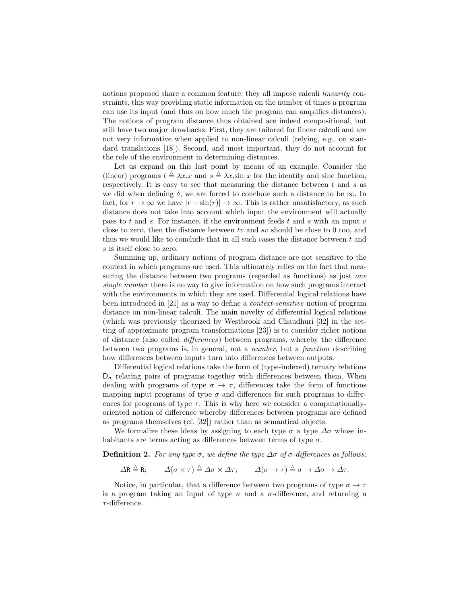notions proposed share a common feature: they all impose calculi *linearity* constraints, this way providing static information on the number of times a program can use its input (and thus on how much the program can amplifies distances). The notions of program distance thus obtained are indeed compositional, but still have two major drawbacks. First, they are tailored for linear calculi and are not very informative when applied to non-linear calculi (relying, e.g., on standard translations [18]). Second, and most important, they do not account for the role of the environment in determining distances.

Let us expand on this last point by means of an example. Consider the (linear) programs  $t \triangleq \lambda x.x$  and  $s \triangleq \lambda x.\sin x$  for the identity and sine function, respectively. It is easy to see that measuring the distance between  $t$  and  $s$  as we did when defining  $\delta$ , we are forced to conclude such a distance to be  $\infty$ . In fact, for  $r \to \infty$  we have  $|r - \sin(r)| \to \infty$ . This is rather unsatisfactory, as such distance does not take into account which input the environment will actually pass to t and s. For instance, if the environment feeds t and s with an input  $v$ close to zero, then the distance between  $tv$  and  $sv$  should be close to 0 too, and thus we would like to conclude that in all such cases the distance between  $t$  and s is itself close to zero.

Summing up, ordinary notions of program distance are not sensitive to the context in which programs are used. This ultimately relies on the fact that measuring the distance between two programs (regarded as functions) as just *one* single number there is no way to give information on how such programs interact with the environments in which they are used. Differential logical relations have been introduced in [21] as a way to define a context-sensitive notion of program distance on non-linear calculi. The main novelty of differential logical relations (which was previously theorized by Westbrook and Chaudhuri [32] in the setting of approximate program transformations [23]) is to consider richer notions of distance (also called differences) between programs, whereby the difference between two programs is, in general, not a number, but a function describing how differences between inputs turn into differences between outputs.

Differential logical relations take the form of (type-indexed) ternary relations  $D_{\sigma}$  relating pairs of programs together with differences between them. When dealing with programs of type  $\sigma \to \tau$ , differences take the form of functions mapping input programs of type  $\sigma$  and differences for such programs to differences for programs of type  $\tau$ . This is why here we consider a computationallyoriented notion of difference whereby differences between programs are defined as programs themselves (cf. [32]) rather than as semantical objects.

We formalize these ideas by assigning to each type  $\sigma$  a type  $\Delta \sigma$  whose inhabitants are terms acting as differences between terms of type  $\sigma$ .

**Definition 2.** For any type  $\sigma$ , we define the type  $\Delta \sigma$  of  $\sigma$ -differences as follows:

 $\Delta$ R  $\triangleq$  R;  $\Delta(\sigma \times \tau) \triangleq \Delta\sigma \times \Delta\tau;$   $\Delta(\sigma \to \tau) \triangleq \sigma \to \Delta\sigma \to \Delta\tau.$ 

Notice, in particular, that a difference between two programs of type  $\sigma \to \tau$ is a program taking an input of type  $\sigma$  and a  $\sigma$ -difference, and returning a  $\tau$ -difference.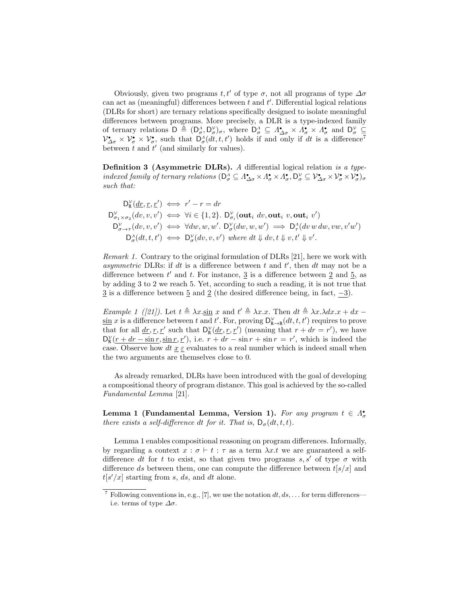Obviously, given two programs t, t' of type  $\sigma$ , not all programs of type  $\Delta \sigma$ can act as (meaningful) differences between  $t$  and  $t'$ . Differential logical relations (DLRs for short) are ternary relations specifically designed to isolate meaningful differences between programs. More precisely, a DLR is a type-indexed family of ternary relations  $D \triangleq (D_{\sigma}^{\Lambda}, D_{\sigma}^{\nu})_{\sigma}$ , where  $D_{\sigma}^{\Lambda} \subseteq \Lambda_{\Delta \sigma}^{\bullet} \times \Lambda_{\sigma}^{\bullet} \times \Lambda_{\sigma}^{\bullet}$  and  $D_{\sigma}^{\nu} \subseteq$  $\mathcal{V}_{\Delta\sigma}^{\bullet} \times \mathcal{V}_{\sigma}^{\bullet} \times \mathcal{V}_{\sigma}^{\bullet}$ , such that  $\mathsf{D}_{\sigma}^{\Lambda}(dt, t, t')$  holds if and only if dt is a difference<sup>7</sup> between  $t$  and  $t'$  (and similarly for values).

Definition 3 (Asymmetric DLRs). A differential logical relation is a typeindexed family of ternary relations  $(D_{\sigma}^{\Lambda} \subseteq \Lambda_{\Delta \sigma}^{\bullet} \times \Lambda_{\sigma}^{\bullet} \times \Lambda_{\sigma}^{\bullet}, D_{\sigma}^{\vee} \subseteq \mathcal{V}_{\Delta \sigma}^{\bullet} \times \mathcal{V}_{\sigma}^{\bullet} \times \mathcal{V}_{\sigma}^{\bullet})_{\sigma}$ such that:

$$
D_K^{\mathcal{V}}(\underline{dr}, \underline{r}, \underline{r}') \iff r' - r = dr
$$
  
\n
$$
D_{\sigma_1 \times \sigma_2}^{\mathcal{V}}(dv, v, v') \iff \forall i \in \{1, 2\}.
$$
 
$$
D_{\sigma_i}^{\mathcal{V}}(\textbf{out}_i \ dv, \textbf{out}_i \ v, \textbf{out}_i \ v')
$$
  
\n
$$
D_{\sigma \to \tau}^{\mathcal{V}}(dv, v, v') \iff \forall dw, w, w'. D_{\sigma}^{\mathcal{V}}(dw, w, w') \implies D_{\tau}^{\mathcal{A}}(dv \ w \ dw, vw, v'w')
$$
  
\n
$$
D_{\sigma}^{\mathcal{A}}(dt, t, t') \iff D_{\sigma}^{\mathcal{V}}(dv, v, v') \ where \ dt \Downarrow dv, t \Downarrow v, t' \Downarrow v'.
$$

Remark 1. Contrary to the original formulation of DLRs [21], here we work with asymmetric DLRs: if dt is a difference between  $t$  and  $t'$ , then  $dt$  may not be a difference between  $t'$  and  $t$ . For instance,  $\frac{3}{5}$  is a difference between  $\frac{2}{5}$  and  $\frac{5}{5}$ , as by adding 3 to 2 we reach 5. Yet, according to such a reading, it is not true that  $\overline{3}$  is a difference between  $\overline{5}$  and  $\overline{2}$  (the desired difference being, in fact,  $-3$ ).

*Example 1 ([21]).* Let  $t \triangleq \lambda x \cdot \sin x$  and  $t' \triangleq \lambda x \cdot x$ . Then  $dt \triangleq \lambda x \cdot \lambda dx \cdot x + dx$  $\sin x$  is a difference between t and t'. For, proving  $D_{\mathbf{R}\to\mathbf{R}}^{\mathcal{V}}(dt, t, t')$  requires to prove that for all  $\underline{dr}, \underline{r}, \underline{r}'$  such that  $D_k^{\gamma}(\underline{dr}, \underline{r}, \underline{r}')$  (meaning that  $r + dr = r'$ ), we have  $D_{\mathbf{R}}^{\mathcal{V}}(\underline{r} + d\underline{r} - \sin \underline{r}, \sin \underline{r}, \underline{r}')$ , i.e.  $r + d\underline{r} - \sin \underline{r} + \sin \underline{r} = r'$ , which is indeed the case. Observe how dt  $\underline{x} \in$  evaluates to a real number which is indeed small when the two arguments are themselves close to 0.

As already remarked, DLRs have been introduced with the goal of developing a compositional theory of program distance. This goal is achieved by the so-called Fundamental Lemma [21].

Lemma 1 (Fundamental Lemma, Version 1). For any program  $t \in \Lambda^{\bullet}_{\sigma}$ there exists a self-difference dt for it. That is,  $D_{\sigma}(dt, t, t)$ .

Lemma 1 enables compositional reasoning on program differences. Informally, by regarding a context  $x : \sigma \vdash t : \tau$  as a term  $\lambda x.t$  we are guaranteed a selfdifference dt for t to exist, so that given two programs s, s' of type  $\sigma$  with difference ds between them, one can compute the difference between  $t[s/x]$  and  $t[s'/x]$  starting from s, ds, and dt alone.

<sup>&</sup>lt;sup>7</sup> Following conventions in, e.g., [7], we use the notation  $dt, ds, \ldots$  for term differences i.e. terms of type  $\Delta \sigma$ .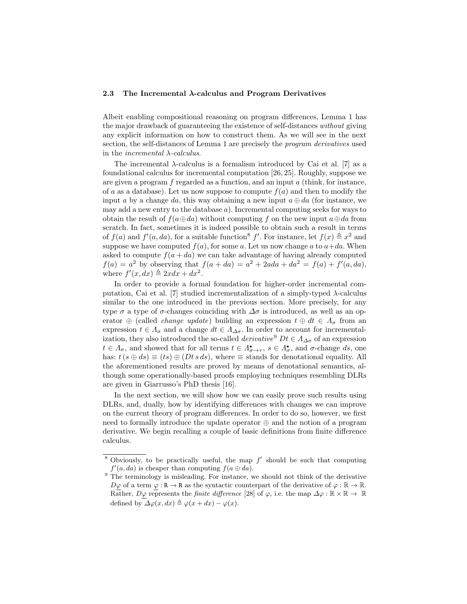#### 2.3 The Incremental  $\lambda$ -calculus and Program Derivatives

Albeit enabling compositional reasoning on program differences, Lemma 1 has the major drawback of guaranteeing the existence of self-distances without giving any explicit information on how to construct them. As we will see in the next section, the self-distances of Lemma 1 are precisely the program derivatives used in the *incremental*  $\lambda$ -calculus.

The incremental  $\lambda$ -calculus is a formalism introduced by Cai et al. [7] as a foundational calculus for incremental computation [26, 25]. Roughly, suppose we are given a program  $f$  regarded as a function, and an input  $a$  (think, for instance, of a as a database). Let us now suppose to compute  $f(a)$  and then to modify the input a by a change da, this way obtaining a new input  $a \oplus da$  (for instance, we may add a new entry to the database  $a$ ). Incremental computing seeks for ways to obtain the result of  $f(a \oplus da)$  without computing f on the new input  $a \oplus da$  from scratch. In fact, sometimes it is indeed possible to obtain such a result in terms of  $f(a)$  and  $f'(a, da)$ , for a suitable function<sup>8</sup> f'. For instance, let  $f(x) \triangleq x^2$  and suppose we have computed  $f(a)$ , for some a. Let us now change a to  $a+da$ . When asked to compute  $f(a + da)$  we can take advantage of having already computed  $f(a) = a^2$  by observing that  $f(a + da) = a^2 + 2ada + da^2 = f(a) + f'(a, da)$ , where  $f'(x, dx) \triangleq 2xdx + dx^2$ .

In order to provide a formal foundation for higher-order incremental computation, Cai et al. [7] studied incrementalization of a simply-typed  $\lambda$ -calculus similar to the one introduced in the previous section. More precisely, for any type  $\sigma$  a type of  $\sigma$ -changes coinciding with  $\Delta \sigma$  is introduced, as well as an operator  $\oplus$  (called *change update*) building an expression  $t \oplus dt \in \Lambda_{\sigma}$  from an expression  $t \in \Lambda_{\sigma}$  and a change  $dt \in \Lambda_{\Delta\sigma}$ . In order to account for incrementalization, they also introduced the so-called *derivative*<sup>9</sup>  $Dt \in A_{\Delta\sigma}$  of an expression  $t \in \Lambda_{\sigma}$ , and showed that for all terms  $t \in \Lambda_{\sigma \to \tau}^{\bullet}$ ,  $s \in \Lambda_{\sigma}^{\bullet}$ , and  $\sigma$ -change ds, one has:  $t(s \oplus ds) \equiv (ts) \oplus (Dt \, s \, ds)$ , where  $\equiv$  stands for denotational equality. All the aforementioned results are proved by means of denotational semantics, although some operationally-based proofs employing techniques resembling DLRs are given in Giarrusso's PhD thesis [16].

In the next section, we will show how we can easily prove such results using DLRs, and, dually, how by identifying differences with changes we can improve on the current theory of program differences. In order to do so, however, we first need to formally introduce the update operator ⊕ and the notion of a program derivative. We begin recalling a couple of basic definitions from finite difference calculus.

<sup>&</sup>lt;sup>8</sup> Obviously, to be practically useful, the map  $f'$  should be such that computing  $f'(a, da)$  is cheaper than computing  $f(a \oplus da)$ .

 $9 \text{ The terminology is misleading.}$  For instance, we should not think of the derivative  $D\varphi$  of a term  $\varphi : \mathbb{R} \to \mathbb{R}$  as the syntactic counterpart of the derivative of  $\varphi : \mathbb{R} \to \mathbb{R}$ . Rather,  $D\varphi$  represents the *finite difference* [28] of  $\varphi$ , i.e. the map  $\Delta\varphi : \mathbb{R} \times \mathbb{R} \to \mathbb{R}$ defined by  $\Delta \varphi(x, dx) \triangleq \varphi(x + dx) - \varphi(x)$ .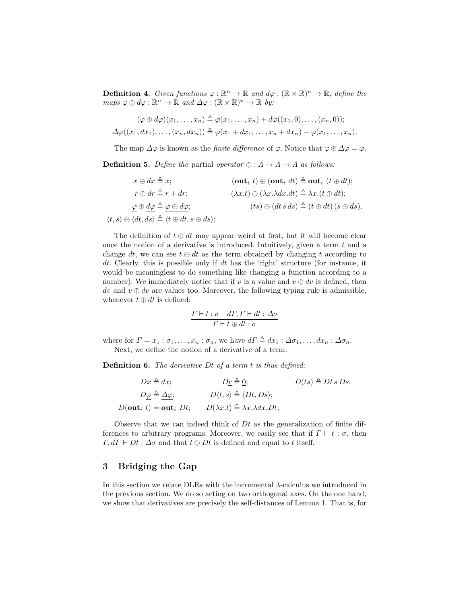**Definition 4.** Given functions  $\varphi : \mathbb{R}^n \to \mathbb{R}$  and  $d\varphi : (\mathbb{R} \times \mathbb{R})^n \to \mathbb{R}$ , define the  $maps \varphi \oplus d\varphi : \mathbb{R}^n \to \mathbb{R} \text{ and } \Delta \varphi : (\mathbb{R} \times \mathbb{R})^n \to \mathbb{R} \text{ by:}$ 

$$
(\varphi \oplus d\varphi)(x_1, \ldots, x_n) \triangleq \varphi(x_1, \ldots, x_n) + d\varphi((x_1, 0), \ldots, (x_n, 0));
$$
  

$$
\Delta \varphi((x_1, dx_1), \ldots, (x_n, dx_n)) \triangleq \varphi(x_1 + dx_1, \ldots, x_n + dx_n) - \varphi(x_1, \ldots, x_n).
$$

The map  $\Delta\varphi$  is known as the *finite difference* of  $\varphi$ . Notice that  $\varphi \oplus \Delta\varphi = \varphi$ .

**Definition 5.** Define the partial operator  $\oplus : \Lambda \to \Lambda$  as follows:

$$
x \oplus dx \triangleq x;
$$
\n
$$
(out_i \ t) \oplus (out_i \ dt) \triangleq out_i \ (t \oplus dt);
$$
\n
$$
r \oplus dr \triangleq r + dr;
$$
\n
$$
\varphi \oplus \underline{d\varphi} \triangleq \varphi \oplus d\varphi;
$$
\n
$$
\langle \lambda x. t \rangle \oplus (\lambda x. \lambda dx. dt) \triangleq \lambda x.(t \oplus dt);
$$
\n
$$
\varphi \oplus \underline{d\varphi} \triangleq \varphi \oplus d\varphi;
$$
\n
$$
(ts) \oplus (dt s ds) \triangleq (t \oplus dt) (s \oplus ds).
$$
\n
$$
\langle t, s \rangle \oplus \langle dt, ds \rangle \triangleq \langle t \oplus dt, s \oplus ds \rangle;
$$

The definition of  $t \oplus dt$  may appear weird at first, but it will become clear once the notion of a derivative is introduced. Intuitively, given a term  $t$  and a change dt, we can see  $t \oplus dt$  as the term obtained by changing t according to dt. Clearly, this is possible only if dt has the 'right' structure (for instance, it would be meaningless to do something like changing a function according to a number). We immediately notice that if v is a value and  $v \oplus dv$  is defined, then dv and  $v \oplus dv$  are values too. Moreover, the following typing rule is admissible, whenever  $t \oplus dt$  is defined:

$$
\frac{\varGamma\vdash t:\sigma\quad d\varGamma,\varGamma\vdash dt:\varDelta\sigma}{\varGamma\vdash t\oplus dt:\sigma}
$$

where for  $\Gamma = x_1 : \sigma_1, \ldots, x_n : \sigma_n$ , we have  $d\Gamma \triangleq dx_1 : \Delta \sigma_1, \ldots, dx_n : \Delta \sigma_n$ . Next, we define the notion of a derivative of a term.

Definition 6. The derivative Dt of a term t is thus defined:

$$
Dx \triangleq dx; \qquad D\underline{r} \triangleq \underline{0}; \qquad D(ts) \triangleq Dt \, s \, Ds.
$$

$$
D\underline{\varphi} \triangleq \underline{\Delta}\varphi; \qquad D\langle t, s \rangle \triangleq \langle Dt, Ds \rangle;
$$

$$
D(\text{out}_i \ t) = \text{out}_i \ Dt; \qquad D(\lambda x. t) \triangleq \lambda x. \lambda dx. Dt;
$$

Observe that we can indeed think of  $Dt$  as the generalization of finite differences to arbitrary programs. Moreover, we easily see that if  $\Gamma \vdash t : \sigma$ , then  $\Gamma, d\Gamma \vdash Dt : \Delta \sigma$  and that  $t \oplus Dt$  is defined and equal to t itself.

#### 3 Bridging the Gap

In this section we relate DLRs with the incremental λ-calculus we introduced in the previous section. We do so acting on two orthogonal axes. On the one hand, we show that derivatives are precisely the self-distances of Lemma 1. That is, for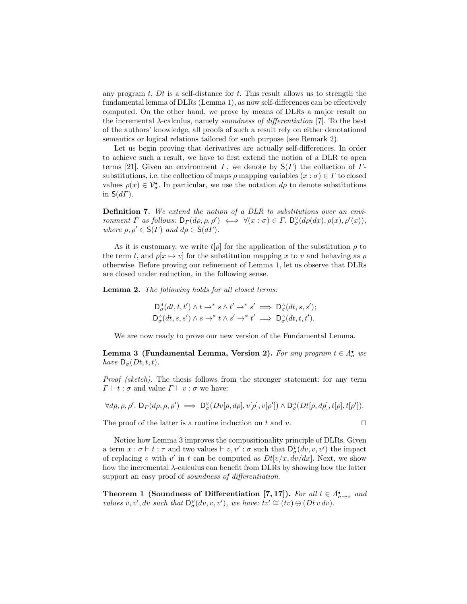any program  $t$ ,  $Dt$  is a self-distance for  $t$ . This result allows us to strength the fundamental lemma of DLRs (Lemma 1), as now self-differences can be effectively computed. On the other hand, we prove by means of DLRs a major result on the incremental  $\lambda$ -calculus, namely soundness of differentiation [7]. To the best of the authors' knowledge, all proofs of such a result rely on either denotational semantics or logical relations tailored for such purpose (see Remark 2).

Let us begin proving that derivatives are actually self-differences. In order to achieve such a result, we have to first extend the notion of a DLR to open terms [21]. Given an environment  $\Gamma$ , we denote by  $S(\Gamma)$  the collection of  $\Gamma$ substitutions, i.e. the collection of maps  $\rho$  mapping variables  $(x : \sigma) \in \Gamma$  to closed values  $\rho(x) \in V^{\bullet}_{\sigma}$ . In particular, we use the notation  $d\rho$  to denote substitutions in  $S(d\Gamma)$ .

Definition 7. We extend the notion of a DLR to substitutions over an environment  $\Gamma$  as follows:  $D_{\Gamma}(d\rho, \rho, \rho') \iff \forall (x : \sigma) \in \Gamma$ .  $D_{\sigma}^{\nu}(d\rho(dx), \rho(x), \rho'(x)),$ where  $\rho, \rho' \in \mathsf{S}(\Gamma)$  and  $d\rho \in \mathsf{S}(d\Gamma)$ .

As it is customary, we write  $t[\rho]$  for the application of the substitution  $\rho$  to the term t, and  $\rho[x \mapsto v]$  for the substitution mapping x to v and behaving as  $\rho$ otherwise. Before proving our refinement of Lemma 1, let us observe that DLRs are closed under reduction, in the following sense.

Lemma 2. The following holds for all closed terms:

$$
\mathsf{D}^{\Lambda}_{\sigma}(dt, t, t') \wedge t \to^{*} s \wedge t' \to^{*} s' \implies \mathsf{D}^{\Lambda}_{\sigma}(dt, s, s');
$$
  

$$
\mathsf{D}^{\Lambda}_{\sigma}(dt, s, s') \wedge s \to^{*} t \wedge s' \to^{*} t' \implies \mathsf{D}^{\Lambda}_{\sigma}(dt, t, t').
$$

We are now ready to prove our new version of the Fundamental Lemma.

Lemma 3 (Fundamental Lemma, Version 2). For any program  $t \in \Lambda^{\bullet}_{\sigma}$  we have  $D_{\sigma}(Dt, t, t)$ .

Proof (sketch). The thesis follows from the stronger statement: for any term  $\Gamma \vdash t : \sigma$  and value  $\Gamma \vdash v : \sigma$  we have:

$$
\forall d\rho, \rho, \rho'.\ \mathsf{D}_\varGamma(d\rho,\rho,\rho') \implies \mathsf{D}^\mathcal{V}_\sigma(Dv[\rho,d\rho],v[\rho],v[\rho'])\wedge \mathsf{D}^\varLambda_\sigma(Dt[\rho,d\rho],t[\rho],t[\rho']).
$$

The proof of the latter is a routine induction on t and v.  $\square$ 

Notice how Lemma 3 improves the compositionality principle of DLRs. Given a term  $x : \sigma \vdash t : \tau$  and two values  $\vdash v, v' : \sigma$  such that  $\mathsf{D}^{\mathcal{V}}_{\sigma}(dv, v, v')$  the impact of replacing v with v' in t can be computed as  $Dt[v/x, dv/dx]$ . Next, we show how the incremental  $\lambda$ -calculus can benefit from DLRs by showing how the latter support an easy proof of *soundness of differentiation*.

Theorem 1 (Soundness of Differentiation [7, 17]). For all  $t \in \Lambda_{\sigma \to \tau}^{\bullet}$  and values v, v', dv such that  $D^{\mathcal{V}}_{\sigma}(dv, v, v')$ , we have:  $tv' \cong (tv) \oplus (Dt \, v \, dv)$ .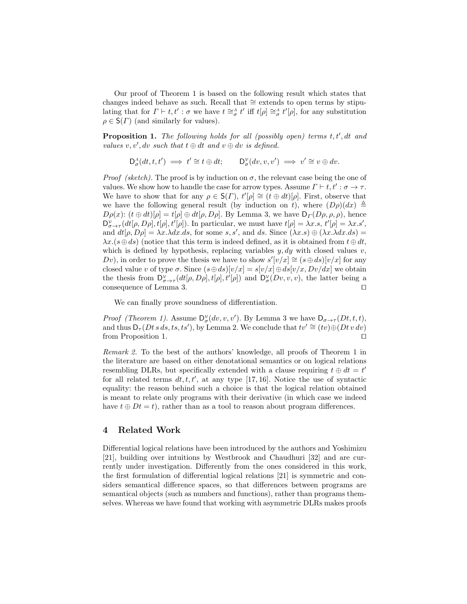Our proof of Theorem 1 is based on the following result which states that changes indeed behave as such. Recall that ∼= extends to open terms by stipulating that for  $\Gamma \vdash t, t' : \sigma$  we have  $t \cong_{\sigma}^{\Lambda} t'$  iff  $t[\rho] \cong_{\sigma}^{\Lambda} t'[\rho]$ , for any substitution  $\rho \in \mathsf{S}(\Gamma)$  (and similarly for values).

**Proposition 1.** The following holds for all (possibly open) terms  $t, t', dt$  and values  $v, v', dv$  such that  $t \oplus dt$  and  $v \oplus dv$  is defined.

$$
\mathsf{D}^{\Lambda}_{\sigma}(dt, t, t') \implies t' \cong t \oplus dt; \qquad \mathsf{D}^{\mathcal{V}}_{\sigma}(dv, v, v') \implies v' \cong v \oplus dv.
$$

*Proof (sketch)*. The proof is by induction on  $\sigma$ , the relevant case being the one of values. We show how to handle the case for arrow types. Assume  $\Gamma \vdash t, t' : \sigma \to \tau$ . We have to show that for any  $\rho \in \mathsf{S}(r)$ ,  $t'[\rho] \cong (t \oplus dt)[\rho]$ . First, observe that we have the following general result (by induction on t), where  $(D\rho)(dx) \triangleq$  $D\rho(x)$ :  $(t \oplus dt)[\rho] = t[\rho] \oplus dt[\rho, D\rho]$ . By Lemma 3, we have  $D_{\Gamma}(D\rho, \rho, \rho)$ , hence  $D^{\mathcal{V}}_{\sigma\to\tau}(dt[\rho,D\rho],t[\rho],t'[\rho])$ . In particular, we must have  $t[\rho]=\lambda x.s, t'[\rho]=\lambda x.s',$ and  $dt[\rho, D\rho] = \lambda x. \lambda dx. ds$ , for some s, s', and ds. Since  $(\lambda x. s) \oplus (\lambda x. \lambda dx. ds)$  $\lambda x. (s \oplus ds)$  (notice that this term is indeed defined, as it is obtained from  $t \oplus dt$ , which is defined by hypothesis, replacing variables  $y, dy$  with closed values  $v$ , Dv), in order to prove the thesis we have to show  $s'[v/x] \cong (s \oplus ds)[v/x]$  for any closed value v of type  $\sigma$ . Since  $(s \oplus ds)[v/x] = s[v/x] \oplus ds[v/x, Dv/dx]$  we obtain the thesis from  $D^{\nu}_{\sigma\to\tau}(dt[\rho,D\rho],t[\rho],t'[\rho])$  and  $D^{\nu}_{\sigma}(Dv,v,v)$ , the latter being a consequence of Lemma 3.  $\Box$ 

We can finally prove soundness of differentiation.

*Proof (Theorem 1).* Assume  $D^{\gamma}_{\sigma}(dv, v, v')$ . By Lemma 3 we have  $D_{\sigma \to \tau}(Dt, t, t)$ , and thus  $D_{\tau}(Dt\,s\,ds,ts,ts'),$  by Lemma 2. We conclude that  $tv' \cong (tv) \oplus (Dt\,v\,dv)$ from Proposition 1.  $\Box$ 

Remark 2. To the best of the authors' knowledge, all proofs of Theorem 1 in the literature are based on either denotational semantics or on logical relations resembling DLRs, but specifically extended with a clause requiring  $t \oplus dt = t'$ for all related terms  $dt, t, t'$ , at any type [17, 16]. Notice the use of syntactic equality: the reason behind such a choice is that the logical relation obtained is meant to relate only programs with their derivative (in which case we indeed have  $t \oplus Dt = t$ , rather than as a tool to reason about program differences.

#### 4 Related Work

Differential logical relations have been introduced by the authors and Yoshimizu [21], building over intuitions by Westbrook and Chaudhuri [32] and are currently under investigation. Differently from the ones considered in this work, the first formulation of differential logical relations [21] is symmetric and considers semantical difference spaces, so that differences between programs are semantical objects (such as numbers and functions), rather than programs themselves. Whereas we have found that working with asymmetric DLRs makes proofs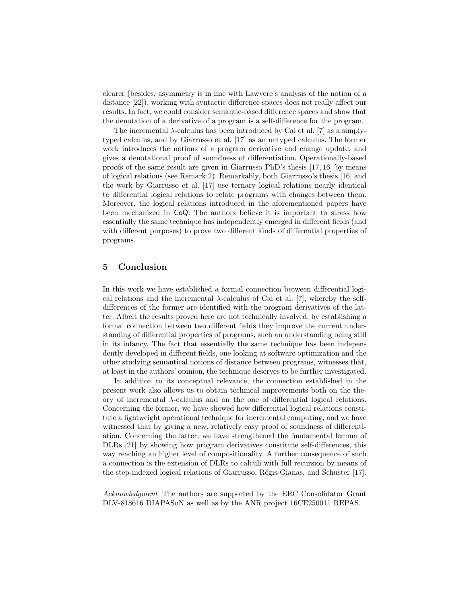clearer (besides, asymmetry is in line with Lawvere's analysis of the notion of a distance [22]), working with syntactic difference spaces does not really affect our results. In fact, we could consider semantic-based difference spaces and show that the denotation of a derivative of a program is a self-difference for the program.

The incremental  $\lambda$ -calculus has been introduced by Cai et al. [7] as a simplytyped calculus, and by Giarrusso et al. [17] as an untyped calculus. The former work introduces the notions of a program derivative and change update, and gives a denotational proof of soundness of differentiation. Operationally-based proofs of the same result are given in Giarrusso PhD's thesis [17, 16] by means of logical relations (see Remark 2). Remarkably, both Giarrusso's thesis [16] and the work by Giarrusso et al. [17] use ternary logical relations nearly identical to differential logical relations to relate programs with changes between them. Moreover, the logical relations introduced in the aforementioned papers have been mechanized in CoQ. The authors believe it is important to stress how essentially the same technique has independently emerged in different fields (and with different purposes) to prove two different kinds of differential properties of programs.

#### 5 Conclusion

In this work we have established a formal connection between differential logical relations and the incremental  $\lambda$ -calculus of Cai et al. [7], whereby the selfdifferences of the former are identified with the program derivatives of the latter. Albeit the results proved here are not technically involved, by establishing a formal connection between two different fields they improve the current understanding of differential properties of programs, such an understanding being still in its infancy. The fact that essentially the same technique has been independently developed in different fields, one looking at software optimization and the other studying semantical notions of distance between programs, witnesses that, at least in the authors' opinion, the technique deserves to be further investigated.

In addition to its conceptual relevance, the connection established in the present work also allows us to obtain technical improvements both on the theory of incremental λ-calculus and on the one of differential logical relations. Concerning the former, we have showed how differential logical relations constitute a lightweight operational technique for incremental computing, and we have witnessed that by giving a new, relatively easy proof of soundness of differentiation. Concerning the latter, we have strengthened the fundamental lemma of DLRs [21] by showing how program derivatives constitute self-differences, this way reaching an higher level of compositionality. A further consequence of such a connection is the extension of DLRs to calculi with full recursion by means of the step-indexed logical relations of Giarrusso, Régis-Gianas, and Schuster [17].

Acknowledgment The authors are supported by the ERC Consolidator Grant DLV-818616 DIAPASoN as well as by the ANR project 16CE250011 REPAS.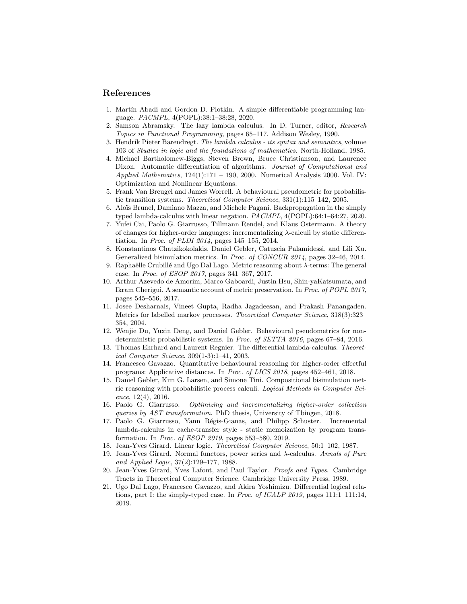#### References

- 1. Martín Abadi and Gordon D. Plotkin. A simple differentiable programming language. PACMPL, 4(POPL):38:1–38:28, 2020.
- 2. Samson Abramsky. The lazy lambda calculus. In D. Turner, editor, Research Topics in Functional Programming, pages 65–117. Addison Wesley, 1990.
- 3. Hendrik Pieter Barendregt. The lambda calculus its syntax and semantics, volume 103 of Studies in logic and the foundations of mathematics. North-Holland, 1985.
- 4. Michael Bartholomew-Biggs, Steven Brown, Bruce Christianson, and Laurence Dixon. Automatic differentiation of algorithms. Journal of Computational and Applied Mathematics,  $124(1):171 - 190$ , 2000. Numerical Analysis 2000. Vol. IV: Optimization and Nonlinear Equations.
- 5. Frank Van Breugel and James Worrell. A behavioural pseudometric for probabilistic transition systems. Theoretical Computer Science, 331(1):115–142, 2005.
- 6. Aloïs Brunel, Damiano Mazza, and Michele Pagani. Backpropagation in the simply typed lambda-calculus with linear negation. PACMPL, 4(POPL):64:1–64:27, 2020.
- 7. Yufei Cai, Paolo G. Giarrusso, Tillmann Rendel, and Klaus Ostermann. A theory of changes for higher-order languages: incrementalizing λ-calculi by static differentiation. In Proc. of PLDI 2014, pages 145–155, 2014.
- 8. Konstantinos Chatzikokolakis, Daniel Gebler, Catuscia Palamidessi, and Lili Xu. Generalized bisimulation metrics. In *Proc. of CONCUR 2014*, pages 32–46, 2014.
- 9. Raphaëlle Crubillé and Ugo Dal Lago. Metric reasoning about  $\lambda$ -terms: The general case. In Proc. of ESOP 2017, pages 341–367, 2017.
- 10. Arthur Azevedo de Amorim, Marco Gaboardi, Justin Hsu, Shin-yaKatsumata, and Ikram Cherigui. A semantic account of metric preservation. In Proc. of POPL 2017, pages 545–556, 2017.
- 11. Josee Desharnais, Vineet Gupta, Radha Jagadeesan, and Prakash Panangaden. Metrics for labelled markov processes. Theoretical Computer Science, 318(3):323– 354, 2004.
- 12. Wenjie Du, Yuxin Deng, and Daniel Gebler. Behavioural pseudometrics for nondeterministic probabilistic systems. In Proc. of SETTA 2016, pages 67–84, 2016.
- 13. Thomas Ehrhard and Laurent Regnier. The differential lambda-calculus. Theoretical Computer Science, 309(1-3):1–41, 2003.
- 14. Francesco Gavazzo. Quantitative behavioural reasoning for higher-order effectful programs: Applicative distances. In Proc. of LICS 2018, pages 452–461, 2018.
- 15. Daniel Gebler, Kim G. Larsen, and Simone Tini. Compositional bisimulation metric reasoning with probabilistic process calculi. Logical Methods in Computer Science, 12(4), 2016.
- 16. Paolo G. Giarrusso. Optimizing and incrementalizing higher-order collection queries by AST transformation. PhD thesis, University of Tbingen, 2018.
- 17. Paolo G. Giarrusso, Yann Régis-Gianas, and Philipp Schuster. Incremental lambda-calculus in cache-transfer style - static memoization by program transformation. In Proc. of ESOP 2019, pages 553–580, 2019.
- 18. Jean-Yves Girard. Linear logic. Theoretical Computer Science, 50:1–102, 1987.
- 19. Jean-Yves Girard. Normal functors, power series and  $\lambda$ -calculus. Annals of Pure and Applied Logic, 37(2):129–177, 1988.
- 20. Jean-Yves Girard, Yves Lafont, and Paul Taylor. Proofs and Types. Cambridge Tracts in Theoretical Computer Science. Cambridge University Press, 1989.
- 21. Ugo Dal Lago, Francesco Gavazzo, and Akira Yoshimizu. Differential logical relations, part I: the simply-typed case. In Proc. of ICALP 2019, pages 111:1–111:14, 2019.